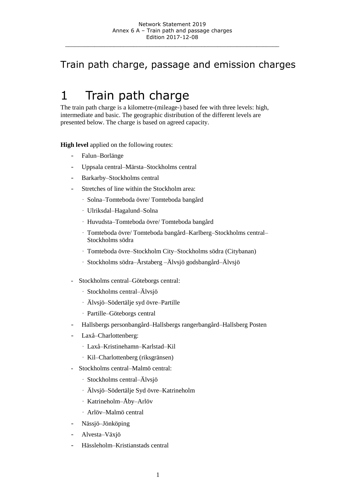#### Train path charge, passage and emission charges

# 1 Train path charge

The train path charge is a kilometre-(mileage-) based fee with three levels: high, intermediate and basic. The geographic distribution of the different levels are presented below. The charge is based on agreed capacity.

**High level** applied on the following routes:

- Falun–Borlänge
- Uppsala central–Märsta–Stockholms central
- Barkarby–Stockholms central
- Stretches of line within the Stockholm area:
	- · Solna–Tomteboda övre/ Tomteboda bangård
	- · Ulriksdal–Hagalund–Solna
	- · Huvudsta–Tomteboda övre/ Tomteboda bangård
	- · Tomteboda övre/ Tomteboda bangård–Karlberg–Stockholms central– Stockholms södra
	- · Tomteboda övre–Stockholm City–Stockholms södra (Citybanan)
	- · Stockholms södra–Årstaberg –Älvsjö godsbangård–Älvsjö
- Stockholms central–Göteborgs central:
	- · Stockholms central–Älvsjö
	- · Älvsjö–Södertälje syd övre–Partille
	- · Partille–Göteborgs central
- Hallsbergs personbangård–Hallsbergs rangerbangård–Hallsberg Posten
- Laxå–Charlottenberg:
	- · Laxå–Kristinehamn–Karlstad–Kil
	- · Kil–Charlottenberg (riksgränsen)
- Stockholms central–Malmö central:
	- · Stockholms central–Älvsjö
	- · Älvsjö–Södertälje Syd övre–Katrineholm
	- · Katrineholm–Åby–Arlöv
	- · Arlöv–Malmö central
- Nässjö–Jönköping
- Alvesta–Växjö
- Hässleholm–Kristianstads central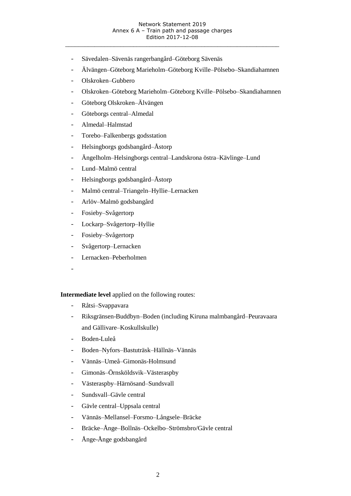- Sävedalen–Sävenäs rangerbangård–Göteborg Sävenäs
- Älvängen–Göteborg Marieholm–Göteborg Kville–Pölsebo–Skandiahamnen
- Olskroken–Gubbero
- Olskroken–Göteborg Marieholm–Göteborg Kville–Pölsebo–Skandiahamnen
- Göteborg Olskroken–Älvängen
- Göteborgs central–Almedal
- Almedal–Halmstad
- Torebo–Falkenbergs godsstation
- Helsingborgs godsbangård–Åstorp
- Ängelholm–Helsingborgs central–Landskrona östra–Kävlinge–Lund
- Lund–Malmö central
- Helsingborgs godsbangård–Åstorp
- Malmö central–Triangeln–Hyllie–Lernacken
- Arlöv–Malmö godsbangård
- Fosieby–Svågertorp
- Lockarp–Svågertorp–Hyllie
- Fosieby–Svågertorp
- Svågertorp–Lernacken
- Lernacken–Peberholmen
- -

**Intermediate level** applied on the following routes:

- Råtsi–Svappavara
- Riksgränsen-Buddbyn–Boden (including Kiruna malmbangård–Peuravaara and Gällivare–Koskullskulle)
- Boden-Luleå
- Boden–Nyfors–Bastuträsk–Hällnäs–Vännäs
- Vännäs–Umeå–Gimonäs-Holmsund
- Gimonäs–Örnsköldsvik–Västeraspby
- Västeraspby–Härnösand–Sundsvall
- Sundsvall–Gävle central
- Gävle central–Uppsala central
- Vännäs–Mellansel–Forsmo–Långsele–Bräcke
- Bräcke–Ånge–Bollnäs–Ockelbo–Strömsbro/Gävle central
- Ånge-Ånge godsbangård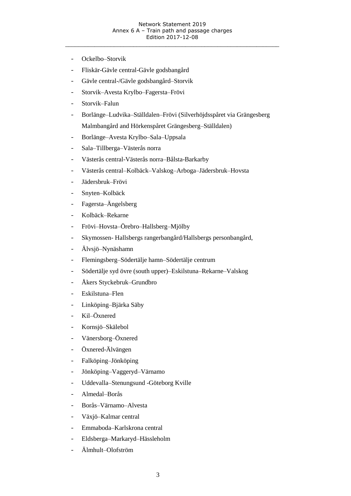- Ockelbo–Storvik
- Fliskär-Gävle central-Gävle godsbangård
- Gävle central-/Gävle godsbangård–Storvik
- Storvik–Avesta Krylbo–Fagersta–Frövi
- Storvik–Falun
- Borlänge–Ludvika–Ställdalen–Frövi (Silverhöjdsspåret via Grängesberg Malmbangård and Hörkenspåret Grängesberg–Ställdalen)
- Borlänge–Avesta Krylbo–Sala–Uppsala
- Sala–Tillberga–Västerås norra
- Västerås central-Västerås norra–Bålsta-Barkarby
- Västerås central–Kolbäck–Valskog–Arboga–Jädersbruk–Hovsta
- Jädersbruk–Frövi
- Snyten–Kolbäck
- Fagersta–Ängelsberg
- Kolbäck–Rekarne
- Frövi–Hovsta–Örebro–Hallsberg–Mjölby
- Skymossen- Hallsbergs rangerbangård/Hallsbergs personbangård,
- Älvsjö–Nynäshamn
- Flemingsberg–Södertälje hamn–Södertälje centrum
- Södertälje syd övre (south upper)–Eskilstuna–Rekarne–Valskog
- Åkers Styckebruk–Grundbro
- Eskilstuna–Flen
- Linköping–Bjärka Säby
- Kil–Öxnered
- Kornsjö–Skälebol
- Vänersborg–Öxnered
- Öxnered-Älvängen
- Falköping–Jönköping
- Jönköping–Vaggeryd–Värnamo
- Uddevalla–Stenungsund -Göteborg Kville
- Almedal–Borås
- Borås–Värnamo–Alvesta
- Växjö–Kalmar central
- Emmaboda–Karlskrona central
- Eldsberga–Markaryd–Hässleholm
- Älmhult–Olofström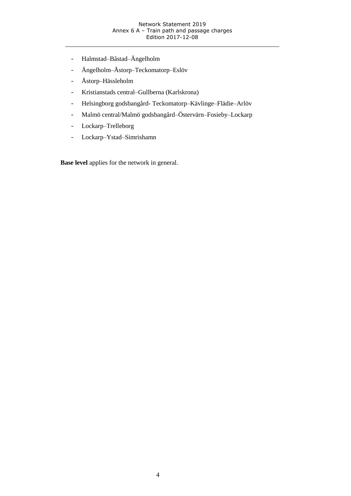- Halmstad–Båstad–Ängelholm
- Ängelholm–Åstorp–Teckomatorp–Eslöv
- Åstorp–Hässleholm
- Kristianstads central–Gullberna (Karlskrona)
- Helsingborg godsbangård- Teckomatorp–Kävlinge–Flädie–Arlöv
- Malmö central/Malmö godsbangård–Östervärn–Fosieby–Lockarp
- Lockarp–Trelleborg
- Lockarp–Ystad–Simrishamn

**Base level** applies for the network in general.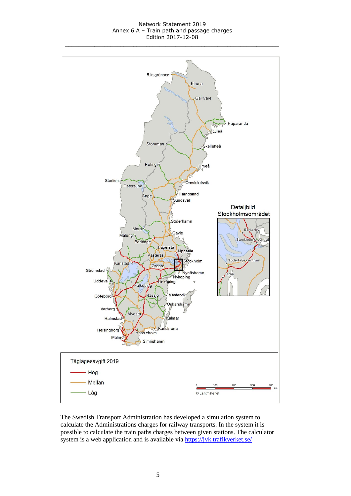#### Network Statement 2019 Annex 6 A – Train path and passage charges Edition 2017-12-08



The Swedish Transport Administration has developed a simulation system to calculate the Administrations charges for railway transports. In the system it is possible to calculate the train paths charges between given stations. The calculator system is a web application and is available via <https://jvk.trafikverket.se/>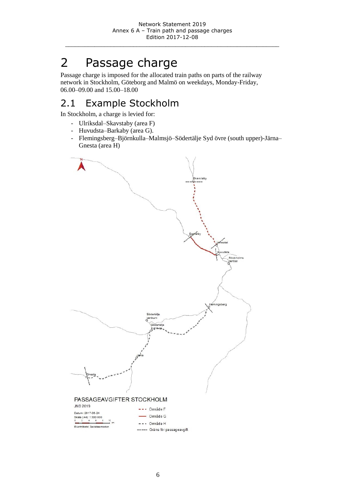# 2 Passage charge

Passage charge is imposed for the allocated train paths on parts of the railway network in Stockholm, Göteborg and Malmö on weekdays, Monday-Friday, 06.00–09.00 and 15.00–18.00

### 2.1 Example Stockholm

In Stockholm, a charge is levied for:

- Ulriksdal–Skavstaby (area F)
- Huvudsta–Barkaby (area G).
- Flemingsberg–Björnkulla–Malmsjö–Södertälje Syd övre (south upper)-Järna– Gnesta (area H)

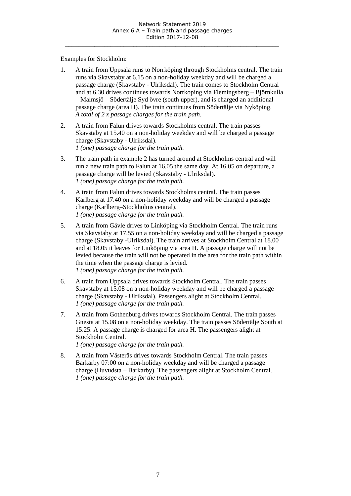Examples for Stockholm:

- 1. A train from Uppsala runs to Norrköping through Stockholms central. The train runs via Skavstaby at 6.15 on a non-holiday weekday and will be charged a passage charge (Skavstaby - Ulriksdal). The train comes to Stockholm Central and at 6.30 drives continues towards Norrkoping via Flemingsberg – Björnkulla – Malmsjö – Södertälje Syd övre (south upper), and is charged an additional passage charge (area H). The train continues from Södertälje via Nyköping. *A total of 2 x passage charges for the train path.*
- 2. A train from Falun drives towards Stockholms central. The train passes Skavstaby at 15.40 on a non-holiday weekday and will be charged a passage charge (Skavstaby - Ulriksdal). *1 (one) passage charge for the train path.*
- 3. The train path in example 2 has turned around at Stockholms central and will run a new train path to Falun at 16.05 the same day. At 16.05 on departure, a passage charge will be levied (Skavstaby - Ulriksdal). *1 (one) passage charge for the train path.*
- 4. A train from Falun drives towards Stockholms central. The train passes Karlberg at 17.40 on a non-holiday weekday and will be charged a passage charge (Karlberg–Stockholms central). *1 (one) passage charge for the train path.*
- 5. A train from Gävle drives to Linköping via Stockholm Central. The train runs via Skavstaby at 17.55 on a non-holiday weekday and will be charged a passage charge (Skavstaby -Ulriksdal). The train arrives at Stockholm Central at 18.00 and at 18.05 it leaves for Linköping via area H. A passage charge will not be levied because the train will not be operated in the area for the train path within the time when the passage charge is levied. *1 (one) passage charge for the train path.*
- 6. A train from Uppsala drives towards Stockholm Central. The train passes Skavstaby at 15.08 on a non-holiday weekday and will be charged a passage charge (Skavstaby - Ulriksdal). Passengers alight at Stockholm Central. *1 (one) passage charge for the train path.*
- 7. A train from Gothenburg drives towards Stockholm Central. The train passes Gnesta at 15.08 on a non-holiday weekday. The train passes Södertälje South at 15.25. A passage charge is charged for area H. The passengers alight at Stockholm Central.

*1 (one) passage charge for the train path.*

8. A train from Västerås drives towards Stockholm Central. The train passes Barkarby 07:00 on a non-holiday weekday and will be charged a passage charge (Huvudsta – Barkarby). The passengers alight at Stockholm Central. *1 (one) passage charge for the train path.*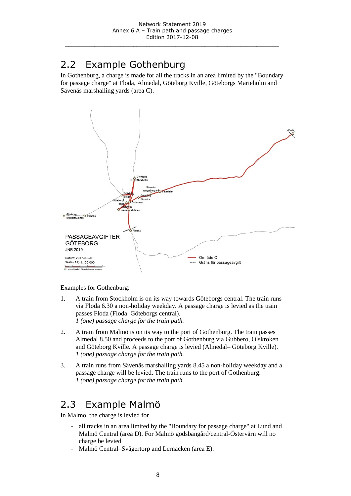#### 2.2 Example Gothenburg

In Gothenburg, a charge is made for all the tracks in an area limited by the "Boundary for passage charge" at Floda, Almedal, Göteborg Kville, Göteborgs Marieholm and Sävenäs marshalling yards (area C).



Examples for Gothenburg:

- 1. A train from Stockholm is on its way towards Göteborgs central. The train runs via Floda 6.30 a non-holiday weekday. A passage charge is levied as the train passes Floda (Floda–Göteborgs central). *1 (one) passage charge for the train path.*
- 2. A train from Malmö is on its way to the port of Gothenburg. The train passes Almedal 8.50 and proceeds to the port of Gothenburg via Gubbero, Olskroken and Göteborg Kville. A passage charge is levied (Almedal– Göteborg Kville). *1 (one) passage charge for the train path.*
- 3. A train runs from Sävenäs marshalling yards 8.45 a non-holiday weekday and a passage charge will be levied. The train runs to the port of Gothenburg. *1 (one) passage charge for the train path.*

#### 2.3 Example Malmö

In Malmo, the charge is levied for

- all tracks in an area limited by the "Boundary for passage charge" at Lund and Malmö Central (area D). For Malmö godsbangård/central-Östervärn will no charge be levied
- Malmö Central–Svågertorp and Lernacken (area E).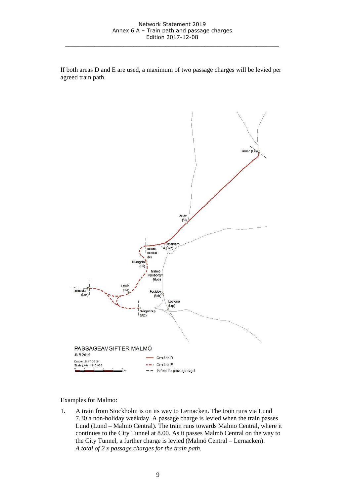If both areas D and E are used, a maximum of two passage charges will be levied per agreed train path.



Examples for Malmo:

1. A train from Stockholm is on its way to Lernacken. The train runs via Lund 7.30 a non-holiday weekday. A passage charge is levied when the train passes Lund (Lund – Malmö Central). The train runs towards Malmo Central, where it continues to the City Tunnel at 8.00. As it passes Malmö Central on the way to the City Tunnel, a further charge is levied (Malmö Central – Lernacken). *A total of 2 x passage charges for the train path.*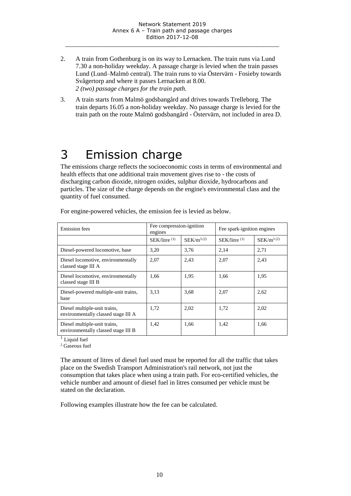- 2. A train from Gothenburg is on its way to Lernacken. The train runs via Lund 7.30 a non-holiday weekday. A passage charge is levied when the train passes Lund (Lund–Malmö central). The train runs to via Östervärn - Fosieby towards Svågertorp and where it passes Lernacken at 8.00. *2 (two) passage charges for the train path.*
- 3. A train starts from Malmö godsbangård and drives towards Trelleborg. The train departs 16.05 a non-holiday weekday. No passage charge is levied for the train path on the route Malmö godsbangård - Östervärn, not included in area D.

### 3 Emission charge

The emissions charge reflects the socioeconomic costs in terms of environmental and health effects that one additional train movement gives rise to - the costs of discharging carbon dioxide, nitrogen oxides, sulphur dioxide, hydrocarbons and particles. The size of the charge depends on the engine's environmental class and the quantity of fuel consumed.

| <b>Emission</b> fees                                                | Fee compression-ignition<br>engines |                | Fee spark-ignition engines |                |
|---------------------------------------------------------------------|-------------------------------------|----------------|----------------------------|----------------|
|                                                                     | $SEK/l$ itre $(1)$                  | $SEK/m^{3(2)}$ | $SEK/l$ itre $(1)$         | $SEK/m^{3(2)}$ |
| Diesel-powered locomotive, base                                     | 3,20                                | 3,76           | 2,14                       | 2,71           |
| Diesel locomotive, environmentally<br>classed stage III A           | 2,07                                | 2,43           | 2,07                       | 2,43           |
| Diesel locomotive, environmentally<br>classed stage III B           | 1,66                                | 1,95           | 1,66                       | 1,95           |
| Diesel-powered multiple-unit trains,<br>base                        | 3,13                                | 3.68           | 2,07                       | 2,62           |
| Diesel multiple-unit trains,<br>environmentally classed stage III A | 1,72                                | 2,02           | 1,72                       | 2,02           |
| Diesel multiple-unit trains,<br>environmentally classed stage III B | 1,42                                | 1,66           | 1,42                       | 1,66           |

For engine-powered vehicles, the emission fee is levied as below.

 $1$  Liquid fuel

<sup>2</sup> Gaseous fuel

The amount of litres of diesel fuel used must be reported for all the traffic that takes place on the Swedish Transport Administration's rail network, not just the consumption that takes place when using a train path. For eco-certified vehicles, the vehicle number and amount of diesel fuel in litres consumed per vehicle must be stated on the declaration.

Following examples illustrate how the fee can be calculated.